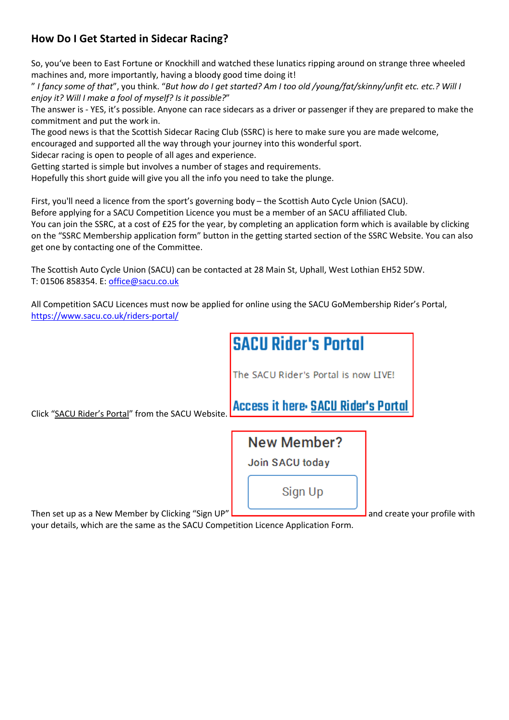## **How Do I Get Started in Sidecar Racing?**

So, you've been to East Fortune or Knockhill and watched these lunatics ripping around on strange three wheeled machines and, more importantly, having a bloody good time doing it!

" *I fancy some of that*", you think. "*But how do I get started? Am I too old /young/fat/skinny/unfit etc. etc.? Will I enjoy it? Will I make a fool of myself? Is it possible?*"

The answer is - YES, it's possible. Anyone can race sidecars as a driver or passenger if they are prepared to make the commitment and put the work in.

The good news is that the Scottish Sidecar Racing Club (SSRC) is here to make sure you are made welcome,

encouraged and supported all the way through your journey into this wonderful sport.

Sidecar racing is open to people of all ages and experience.

Getting started is simple but involves a number of stages and requirements.

Hopefully this short guide will give you all the info you need to take the plunge.

First, you'll need a licence from the sport's governing body – the Scottish Auto Cycle Union (SACU).

Before applying for a SACU Competition Licence you must be a member of an SACU affiliated Club.

You can join the SSRC, at a cost of £25 for the year, by completing an application form which is available by clicking on the "SSRC Membership application form" button in the getting started section of the SSRC Website. You can also get one by contacting one of the Committee.

The Scottish Auto Cycle Union (SACU) can be contacted at 28 Main St, Uphall, West Lothian EH52 5DW. T: 01506 858354. E: office@sacu.co.uk

All Competition SACU Licences must now be applied for online using the SACU GoMembership Rider's Portal, https://www.sacu.co.uk/riders-portal/



Then set up as a New Member by Clicking "Sign UP"  $\Box$   $\Box$   $\Box$   $\Box$   $\Box$   $\Box$   $\Box$  and create your profile with

your details, which are the same as the SACU Competition Licence Application Form.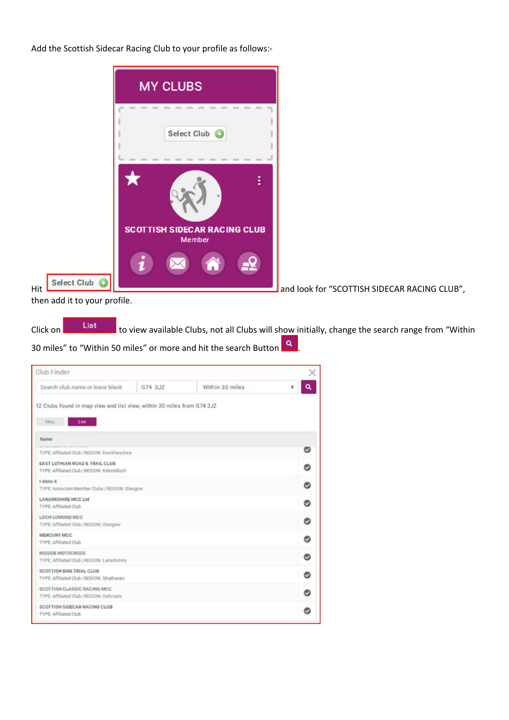Add the Scottish Sidecar Racing Club to your profile as follows:-



then add it to your profile.

Click on **the view available Clubs, not all Clubs will show initially, change the search range from "Within**"

30 miles" to "Within 50 miles" or more and hit the search Button **Q** 

| Club Finder                                                                            |         |                 |   |   |
|----------------------------------------------------------------------------------------|---------|-----------------|---|---|
| Search club name or leave blank                                                        | G74 3JZ | Within 30 miles | ٠ |   |
| 12 Clubs found in map view and list view, within 30 miles from G74 3JZ<br>List.<br>Map |         |                 |   |   |
| Name                                                                                   |         |                 |   |   |
| TYPE: Affiliated Club   REGION: Dumfriesshire                                          |         |                 |   | ඏ |
| EAST LOTHIAN ROAD & TRAIL CLUB<br>TYPE: Affiliated Club   REGION: Krkintilloch         |         |                 |   | o |
| 1-Moto X<br>TYPE: Associate Member Clubs   REGION: Glasgow                             |         |                 |   | ø |
| LANARKSHIRE MCC Ltd<br>TYPE Affiliated Club                                            |         |                 |   | ø |
| LOCH LOMOND MCC.<br>TYPE: Affiliated Club   REGION: Glasgow                            |         |                 |   | Θ |
| MERCURY MCC<br>TYPE: Affiliated Club                                                   |         |                 |   | o |
| RIGSIDE MOTOCROSS<br>TYPE: Affiliated Club   REGION: Lanarkshire                       |         |                 |   | ø |
| SCOTTISH BIKE TRIAL CLUB<br>TYPE Affiliated Club   REGION: Strathaven                  |         |                 |   | ø |
| SCOTTISH CLASSIC RACING MCC<br>TYPE Affiliated Club   REGION Saltcoats                 |         |                 |   | o |
| SCOTTISH SIDECAR RACING CLUB<br>TYPE: Affiliated Club                                  |         |                 |   | o |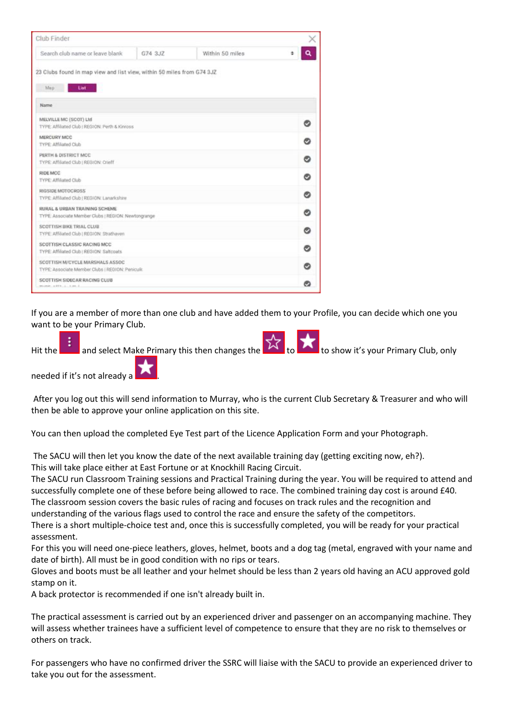| Club Finder                                                                           |         |                 |   |
|---------------------------------------------------------------------------------------|---------|-----------------|---|
| Search club name or leave blank                                                       | G74 3JZ | Within 50 miles |   |
| 23 Clubs found in map view and list view, within 50 miles from G74 3JZ<br>List<br>Map |         |                 |   |
| Name                                                                                  |         |                 |   |
| MELVILLE MC (SCOT) Ltd<br>TYPE: Affiliated Club   REGION: Perth & Kinnoss             |         |                 | ◓ |
| MERCURY MCC<br>TYPE: Affiliated Club                                                  |         |                 | Θ |
| PERTH & DISTRICT MCC.<br>TYPE: Affiliated Club   REGION: Crieff                       |         |                 | Θ |
| RIDE MCC<br>TYPE: Affiliated Club                                                     |         |                 | Θ |
| RIGSIDE MOTOCROSS<br>TYPE: Affiliated Club   REGION: Lanarkshire                      |         |                 | Ø |
| RURAL & URBAN TRAINING SCHEME<br>TYPE: Associate Member Clubs   REGION: Newtongrange  |         |                 | ø |
| SCOTTISH BIKE TRIAL CLUB<br>TYPE: Affiliated Club   REGION: Strathaven                |         |                 | ⊗ |
| SCOTTISH CLASSIC RACING MCC<br>TYPE Affiliated Club; REGION: Saltcoats                |         |                 | Θ |
| SCOTTISH M/CYCLE MARSHALS ASSOC<br>TYPE: Associate Member Clubs   REGION: Peniculit   |         |                 | Θ |
| SCOTTISH SIDECAR RACING CLUB<br>minds, a \$931, 2, 3, 40, 3                           |         |                 | Θ |

If you are a member of more than one club and have added them to your Profile, you can decide which one you want to be your Primary Club.



needed if it's not already a .

After you log out this will send information to Murray, who is the current Club Secretary & Treasurer and who will then be able to approve your online application on this site.

You can then upload the completed Eye Test part of the Licence Application Form and your Photograph.

The SACU will then let you know the date of the next available training day (getting exciting now, eh?). This will take place either at East Fortune or at Knockhill Racing Circuit.

The SACU run Classroom Training sessions and Practical Training during the year. You will be required to attend and successfully complete one of these before being allowed to race. The combined training day cost is around £40.

The classroom session covers the basic rules of racing and focuses on track rules and the recognition and understanding of the various flags used to control the race and ensure the safety of the competitors.

There is a short multiple-choice test and, once this is successfully completed, you will be ready for your practical assessment.

For this you will need one-piece leathers, gloves, helmet, boots and a dog tag (metal, engraved with your name and date of birth). All must be in good condition with no rips or tears.

Gloves and boots must be all leather and your helmet should be less than 2 years old having an ACU approved gold stamp on it.

A back protector is recommended if one isn't already built in.

The practical assessment is carried out by an experienced driver and passenger on an accompanying machine. They will assess whether trainees have a sufficient level of competence to ensure that they are no risk to themselves or others on track.

For passengers who have no confirmed driver the SSRC will liaise with the SACU to provide an experienced driver to take you out for the assessment.